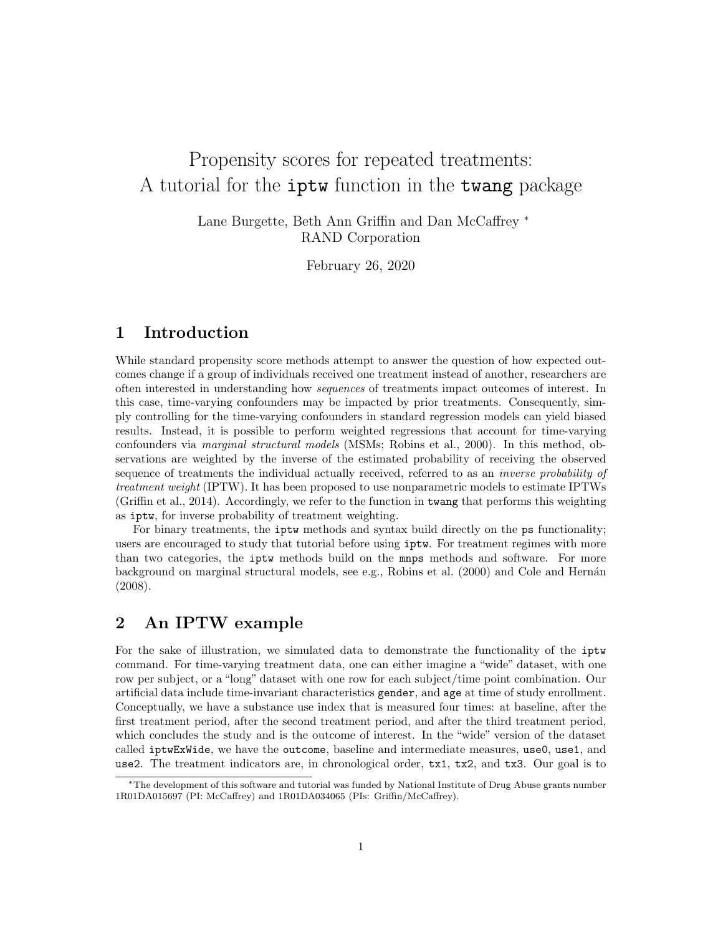# Propensity scores for repeated treatments: A tutorial for the iptw function in the twang package

Lane Burgette, Beth Ann Griffin and Dan McCaffrey <sup>∗</sup> RAND Corporation

February 26, 2020

# 1 Introduction

While standard propensity score methods attempt to answer the question of how expected outcomes change if a group of individuals received one treatment instead of another, researchers are often interested in understanding how sequences of treatments impact outcomes of interest. In this case, time-varying confounders may be impacted by prior treatments. Consequently, simply controlling for the time-varying confounders in standard regression models can yield biased results. Instead, it is possible to perform weighted regressions that account for time-varying confounders via marginal structural models (MSMs; Robins et al., 2000). In this method, observations are weighted by the inverse of the estimated probability of receiving the observed sequence of treatments the individual actually received, referred to as an *inverse probability of* treatment weight (IPTW). It has been proposed to use nonparametric models to estimate IPTWs (Griffin et al., 2014). Accordingly, we refer to the function in twang that performs this weighting as iptw, for inverse probability of treatment weighting.

For binary treatments, the **iptw** methods and syntax build directly on the **ps** functionality; users are encouraged to study that tutorial before using iptw. For treatment regimes with more than two categories, the iptw methods build on the mnps methods and software. For more background on marginal structural models, see e.g., Robins et al. (2000) and Cole and Hernán (2008).

# 2 An IPTW example

For the sake of illustration, we simulated data to demonstrate the functionality of the iptw command. For time-varying treatment data, one can either imagine a "wide" dataset, with one row per subject, or a "long" dataset with one row for each subject/time point combination. Our artificial data include time-invariant characteristics gender, and age at time of study enrollment. Conceptually, we have a substance use index that is measured four times: at baseline, after the first treatment period, after the second treatment period, and after the third treatment period, which concludes the study and is the outcome of interest. In the "wide" version of the dataset called iptwExWide, we have the outcome, baseline and intermediate measures, use0, use1, and use2. The treatment indicators are, in chronological order, tx1, tx2, and tx3. Our goal is to

<sup>∗</sup>The development of this software and tutorial was funded by National Institute of Drug Abuse grants number 1R01DA015697 (PI: McCaffrey) and 1R01DA034065 (PIs: Griffin/McCaffrey).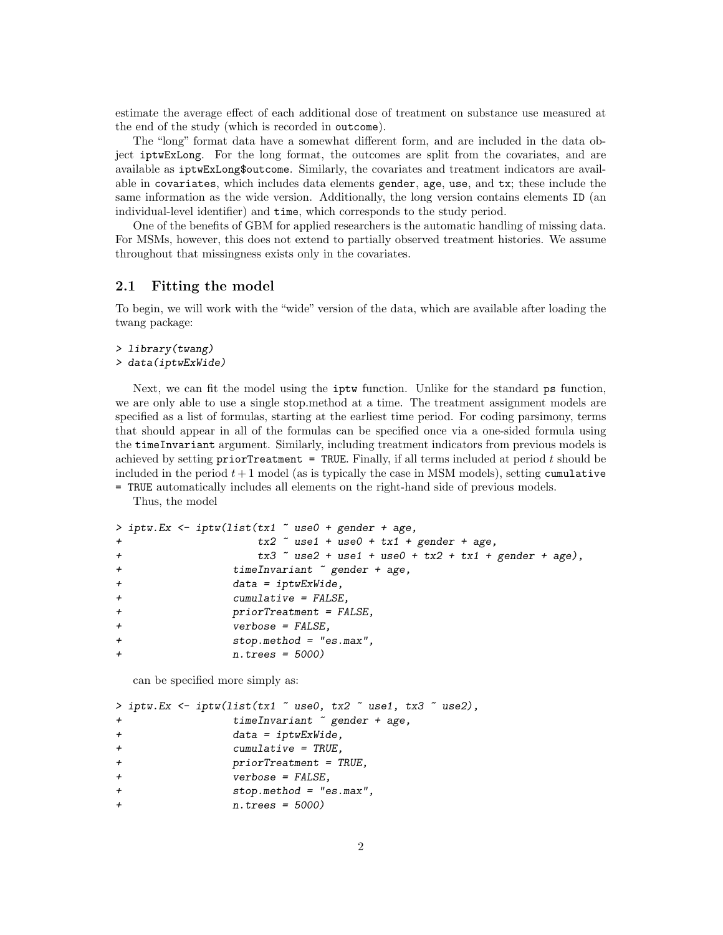estimate the average effect of each additional dose of treatment on substance use measured at the end of the study (which is recorded in outcome).

The "long" format data have a somewhat different form, and are included in the data object iptwExLong. For the long format, the outcomes are split from the covariates, and are available as iptwExLong\$outcome. Similarly, the covariates and treatment indicators are available in covariates, which includes data elements gender, age, use, and tx; these include the same information as the wide version. Additionally, the long version contains elements ID (an individual-level identifier) and time, which corresponds to the study period.

One of the benefits of GBM for applied researchers is the automatic handling of missing data. For MSMs, however, this does not extend to partially observed treatment histories. We assume throughout that missingness exists only in the covariates.

#### 2.1 Fitting the model

To begin, we will work with the "wide" version of the data, which are available after loading the twang package:

```
> library(twang)
> data(iptwExWide)
```
Next, we can fit the model using the iptw function. Unlike for the standard ps function, we are only able to use a single stop.method at a time. The treatment assignment models are specified as a list of formulas, starting at the earliest time period. For coding parsimony, terms that should appear in all of the formulas can be specified once via a one-sided formula using the timeInvariant argument. Similarly, including treatment indicators from previous models is achieved by setting priorTreatment = TRUE. Finally, if all terms included at period  $t$  should be included in the period  $t + 1$  model (as is typically the case in MSM models), setting cumulative = TRUE automatically includes all elements on the right-hand side of previous models.

Thus, the model

```
> iptw.Ex \le iptw(list(tx1 \degree use0 + gender + age,
+ tx2 ~ use1 + use0 + tx1 + gender + age,
+ tx3 x3 x82 + use1 + use0 + tx2 + tx1 + gender + age),
+ timeInvariant ~ gender + age,
+ data = iptwExWide,
+ cumulative = FALSE,
+ priorTreatment = FALSE,
             verbose = FALSE,
+ stop.method = "es.max",
+ n.trees = 5000)
```
can be specified more simply as:

```
> iptw.Ex <- iptw(list(tx1 ~ use0, tx2 ~ use1, tx3 ~ use2),
+ timeInvariant ~ gender + age,
+ data = iptwExWide,
+ cumulative = TRUE,
+ priorTreatment = TRUE,
              verbose = FALSE,
+ stop.method = "es.max",
             n.trees = 5000)
```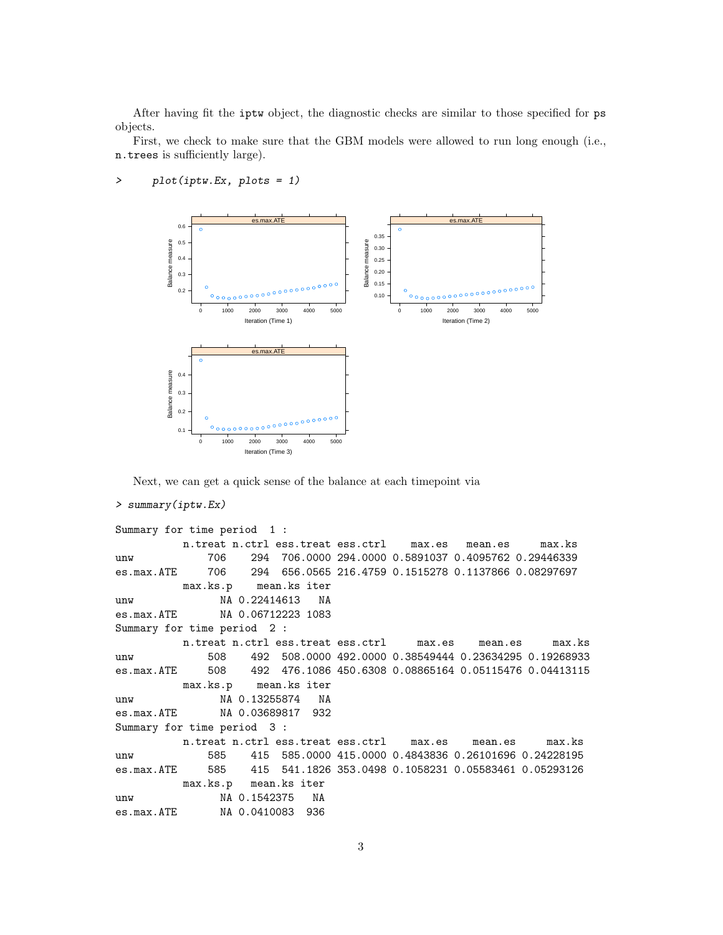After having fit the iptw object, the diagnostic checks are similar to those specified for ps objects.

First, we check to make sure that the GBM models were allowed to run long enough (i.e., n.trees is sufficiently large).



#### > plot(iptw.Ex, plots = 1)

Next, we can get a quick sense of the balance at each timepoint via

#### > summary(iptw.Ex)

```
Summary for time period 1 :
         n.treat n.ctrl ess.treat ess.ctrl max.es mean.es max.ks
unw 706 294 706.0000 294.0000 0.5891037 0.4095762 0.29446339
es.max.ATE 706 294 656.0565 216.4759 0.1515278 0.1137866 0.08297697
         max.ks.p mean.ks iter
unw NA 0.22414613 NA
es.max.ATE NA 0.06712223 1083
Summary for time period 2 :
         n.treat n.ctrl ess.treat ess.ctrl max.es mean.es max.ks
unw 508 492 508.0000 492.0000 0.38549444 0.23634295 0.19268933
es.max.ATE 508 492 476.1086 450.6308 0.08865164 0.05115476 0.04413115
         max.ks.p mean.ks iter
unw NA 0.13255874 NA
es.max.ATE NA 0.03689817 932
Summary for time period 3 :
         n.treat n.ctrl ess.treat ess.ctrl max.es mean.es max.ks
unw 585 415 585.0000 415.0000 0.4843836 0.26101696 0.24228195
es.max.ATE 585 415 541.1826 353.0498 0.1058231 0.05583461 0.05293126
         max.ks.p mean.ks iter
unw NA 0.1542375 NA
es.max.ATE NA 0.0410083 936
```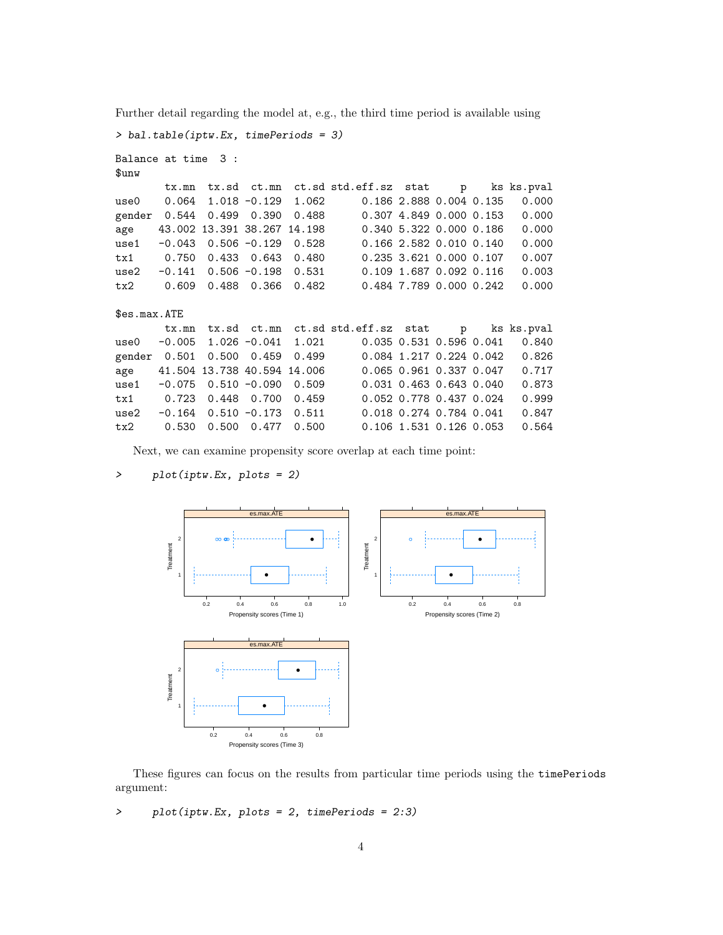> bal.table(iptw.Ex, timePeriods = 3) Balance at time 3 : \$unw tx.mn tx.sd ct.mn ct.sd std.eff.sz stat p ks ks.pval use0 0.064 1.018 -0.129 1.062 0.186 2.888 0.004 0.135 0.000 gender 0.544 0.499 0.390 0.488 0.307 4.849 0.000 0.153 0.000

age 43.002 13.391 38.267 14.198 0.340 5.322 0.000 0.186 0.000 use1 -0.043 0.506 -0.129 0.528 0.166 2.582 0.010 0.140 0.000 tx1 0.750 0.433 0.643 0.480 0.235 3.621 0.000 0.107 0.007 use2 -0.141 0.506 -0.198 0.531 0.109 1.687 0.092 0.116 0.003

Further detail regarding the model at, e.g., the third time period is available using

```
tx2 0.609 0.488 0.366 0.482 0.484 7.789 0.000 0.242 0.000
$es.max.ATE
      tx.mn tx.sd ct.mn ct.sd std.eff.sz stat p ks ks.pval
use0 -0.005 1.026 -0.041 1.021 0.035 0.531 0.596 0.041 0.840
gender 0.501 0.500 0.459 0.499 0.084 1.217 0.224 0.042 0.826
age 41.504 13.738 40.594 14.006 0.065 0.961 0.337 0.047 0.717
use1 -0.075 0.510 -0.090 0.509 0.031 0.463 0.643 0.040 0.873
tx1 0.723 0.448 0.700 0.459 0.052 0.778 0.437 0.024 0.999
use2 -0.164  0.510 -0.173  0.511  0.018  0.274  0.784  0.041  0.847
tx2 0.530 0.500 0.477 0.500 0.106 1.531 0.126 0.053 0.564
```
Next, we can examine propensity score overlap at each time point:

> plot(iptw.Ex, plots = 2)

```
es.max.ATE
                                                                              es.max.ATE
   2
             ●● ●●● ●
                                                          2
                                                                    ● ●
Treatment
                                                       Treatment
Treatment
                                                       Treatment
   1
                           ●
                                                          1
                                                                               ●
          0.2 0.4 0.6 0.8 1.0
                                                                   0.2 0.4 0.6 0.8
                 Propensity scores (Time 1)
                                                                        Propensity scores (Time 2)
                       es.max.ATE
   2
              。              ●      ●         ●
Treatment
Treatment
   1
                           ●
           0.2 0.4 0.6 0.8
```
These figures can focus on the results from particular time periods using the timePeriods argument:

> plot(iptw.Ex, plots = 2, timePeriods = 2:3)

Propensity scores (Time 3)

4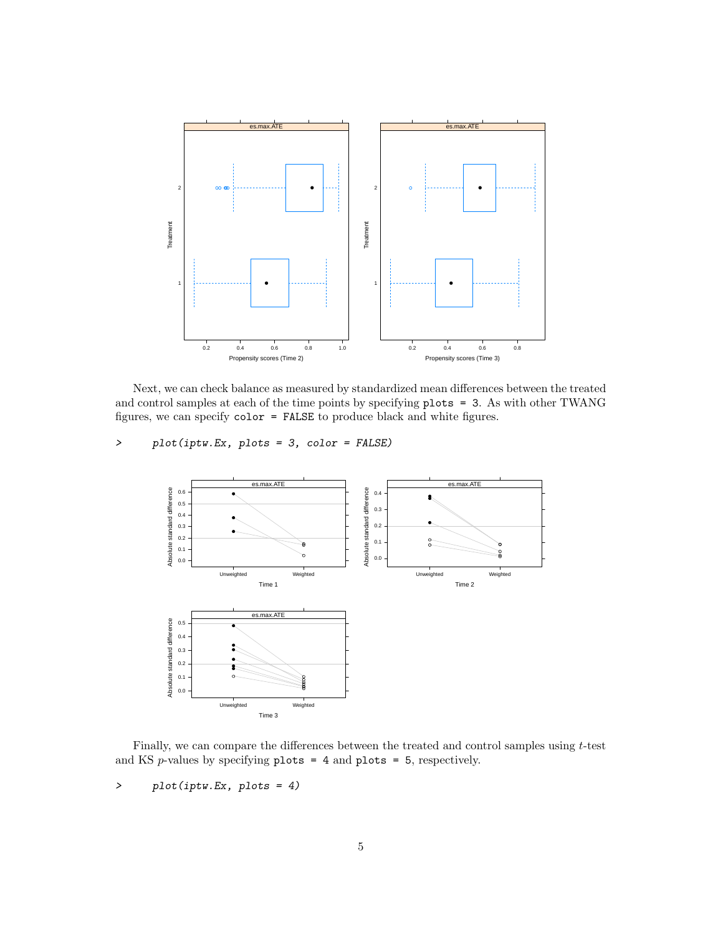

Next, we can check balance as measured by standardized mean differences between the treated and control samples at each of the time points by specifying plots = 3. As with other TWANG figures, we can specify  $color = FALSE$  to produce black and white figures.

#### > plot(iptw.Ex, plots = 3, color = FALSE)



Finally, we can compare the differences between the treated and control samples using  $t$ -test and KS  $p$ -values by specifying  $plots = 4$  and  $plots = 5$ , respectively.

> plot(iptw.Ex, plots = 4)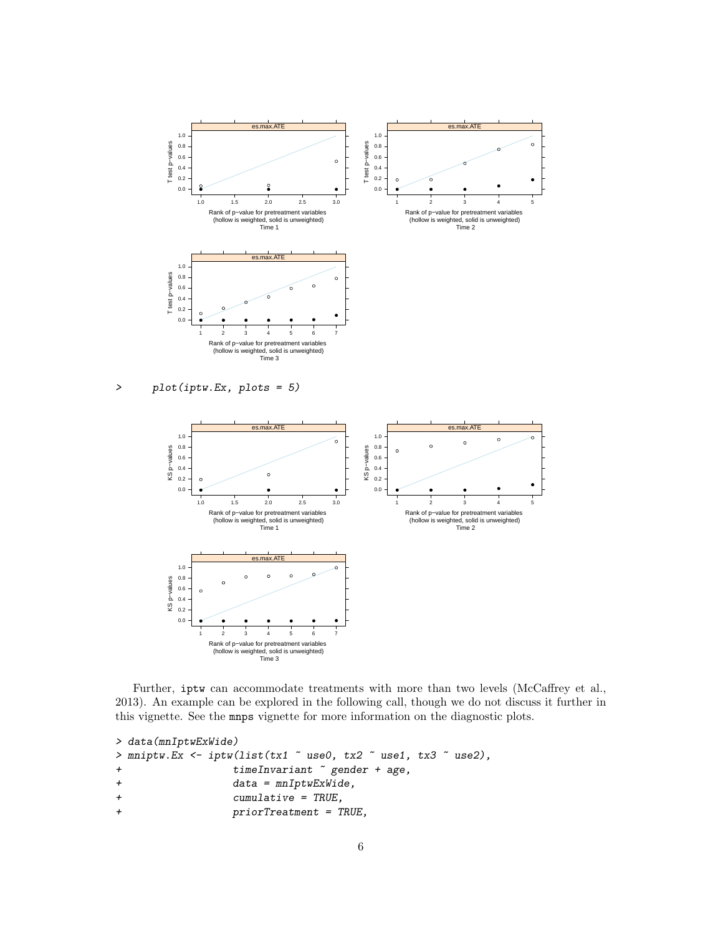

Further, iptw can accommodate treatments with more than two levels (McCaffrey et al., 2013). An example can be explored in the following call, though we do not discuss it further in this vignette. See the mnps vignette for more information on the diagnostic plots.

```
> data(mnIptwExWide)
> mniptw.Ex <- iptw(list(tx1 ~ use0, tx2 ~ use1, tx3 ~ use2),
+ timeInvariant ~ gender + age,
+ data = mnIptwExWide,
+ cumulative = TRUE,
+ priorTreatment = TRUE,
```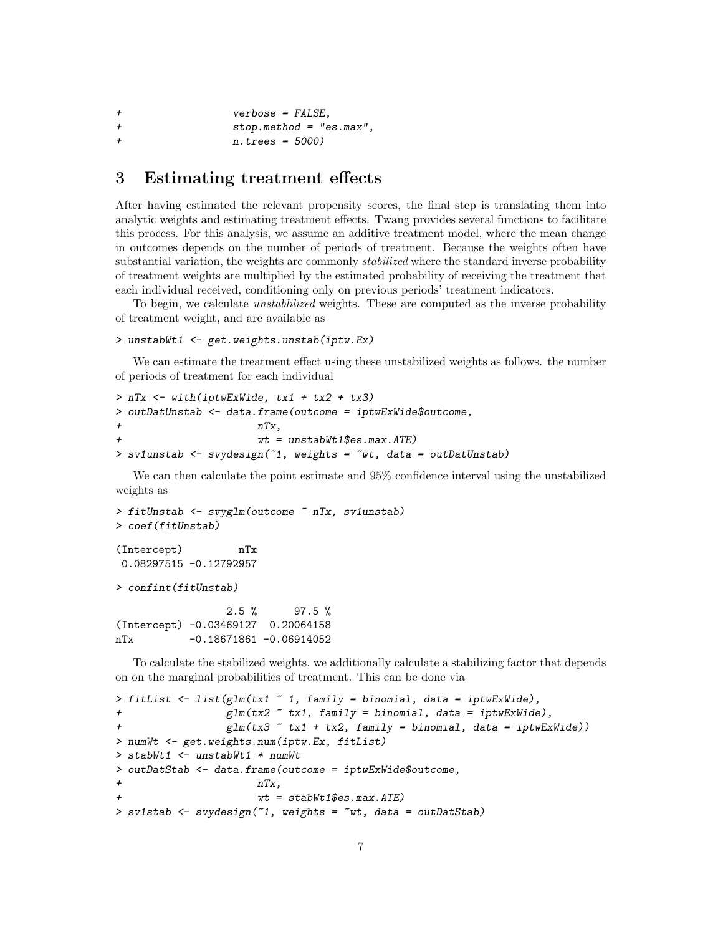```
+ verbose = FALSE,
+ stop.method = "es.max",
            n.trees = 5000)
```
### 3 Estimating treatment effects

After having estimated the relevant propensity scores, the final step is translating them into analytic weights and estimating treatment effects. Twang provides several functions to facilitate this process. For this analysis, we assume an additive treatment model, where the mean change in outcomes depends on the number of periods of treatment. Because the weights often have substantial variation, the weights are commonly *stabilized* where the standard inverse probability of treatment weights are multiplied by the estimated probability of receiving the treatment that each individual received, conditioning only on previous periods' treatment indicators.

To begin, we calculate unstablilized weights. These are computed as the inverse probability of treatment weight, and are available as

```
> unstabWt1 <- get.weights.unstab(iptw.Ex)
```
We can estimate the treatment effect using these unstabilized weights as follows. the number of periods of treatment for each individual

```
> nTx <- with(iptwExWide, tx1 + tx2 + tx3)
> outDatUnstab <- data.frame(outcome = iptwExWide$outcome,
+ nTx,
                     wt = unstabWt1$es.max.ATE)
> sv1unstab <- svydesign(~1, weights = ~wt, data = outDatUnstab)
```
We can then calculate the point estimate and 95% confidence interval using the unstabilized weights as

```
> fitUnstab <- svyglm(outcome ~ nTx, sv1unstab)
> coef(fitUnstab)
(Intercept) nTx
0.08297515 -0.12792957
> confint(fitUnstab)
                2.5 % 97.5 %
```
(Intercept) -0.03469127 0.20064158 nTx -0.18671861 -0.06914052

To calculate the stabilized weights, we additionally calculate a stabilizing factor that depends on on the marginal probabilities of treatment. This can be done via

```
> fitList <- list(glm(tx1 ~ 1, family = binomial, data = iptwExWide),
+ glm(tx2 ~ tx1, family = binomial, data = iptwExWide),
+ glm(tx3 \tilde{c} tx1 + tx2, family = binomial, data = iptwExWide))
> numWt <- get.weights.num(iptw.Ex, fitList)
> stabWt1 <- unstabWt1 * numWt
> outDatStab <- data.frame(outcome = iptwExWide$outcome,
+ nTx,
                     wt = stabWt1\es.max.ATE)
> sv1stab <- svydesign(~1, weights = ~wt, data = outDatStab)
```